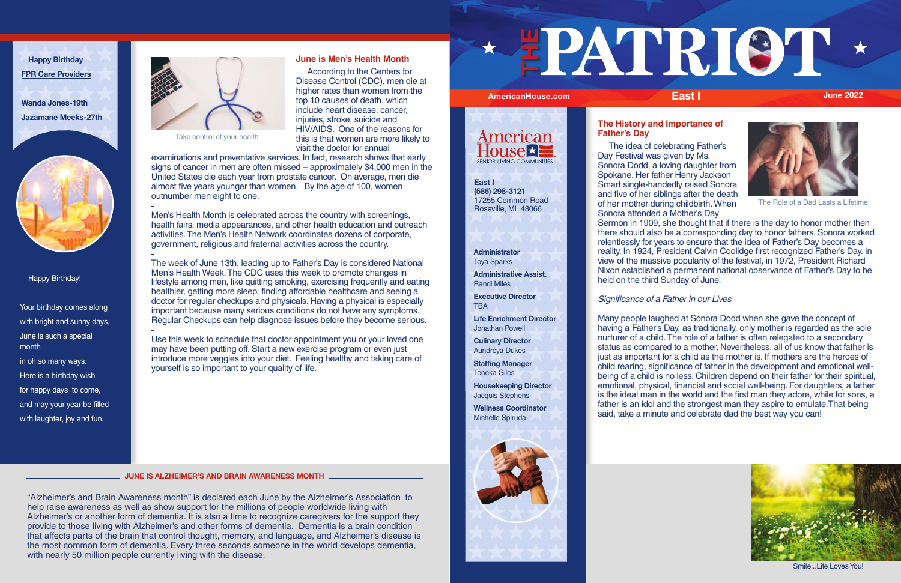Happy Birthday!

Here is a birthday wish for happy days to come, and may your year be filled with laughter, joy and fun.



Your birthday comes along with bright and sunny days, June is such a special month in oh so many ways.

**Happy Birthday FPR Care Providers**

**Wanda Jones-19th Jazamane Meeks-27th**



# **June is Men's Health Month**

 According to the Centers for Disease Control (CDC), men die at higher rates than women from the top 10 causes of death, which include heart disease, cancer, injuries, stroke, suicide and HIV/AIDS. One of the reasons for this is that women are more likely to visit the doctor for annual

examinations and preventative services. In fact, research shows that early signs of cancer in men are often missed – approximately 34,000 men in the United States die each year from prostate cancer. On average, men die almost five years younger than women. By the age of 100, women outnumber men eight to one.

> **Executive Director TBA**

Men's Health Month is celebrated across the country with screenings, health fairs, media appearances, and other health education and outreach activities. The Men's Health Network coordinates dozens of corporate, government, religious and fraternal activities across the country.

The week of June 13th, leading up to Father's Day is considered National Men's Health Week. The CDC uses this week to promote changes in lifestyle among men, like quitting smoking, exercising frequently and eating healthier, getting more sleep, finding affordable healthcare and seeing a doctor for regular checkups and physicals. Having a physical is especially important because many serious conditions do not have any symptoms. Regular Checkups can help diagnose issues before they become serious.

Use this week to schedule that doctor appointment you or your loved one may have been putting off. Start a new exercise program or even just introduce more veggies into your diet. Feeling healthy and taking care of yourself is so important to your quality of life.

"Alzheimer's and Brain Awareness month" is declared each June by the Alzheimer's Association to help raise awareness as well as show support for the millions of people worldwide living with Alzheimer's or another form of dementia. It is also a time to recognize caregivers for the support they provide to those living with Alzheimer's and other forms of dementia. Dementia is a brain condition that affects parts of the brain that control thought, memory, and language, and Alzheimer's disease is the most common form of dementia. Every three seconds someone in the world develops dementia, with nearly 50 million people currently living with the disease.

## **Administrator** Toya Sparks

**Administrative Assist.** Randi Miles

**Life Enrichment Director** Jonathan Powell

**Culinary Director** Aundreya Dukes

**Staffing Manager** Teneka Giles

**Housekeeping Director** Jacquis Stephens

**Wellness Coordinator** Michelle Spiruda



## **The History and Importance of Father's Day**





# Significance of a Father in our Lives

Many people laughed at Sonora Dodd when she gave the concept of having a Father's Day, as traditionally, only mother is regarded as the sole nurturer of a child. The role of a father is often relegated to a secondary status as compared to a mother. Nevertheless, all of us know that father is just as important for a child as the mother is. If mothers are the heroes of child rearing, significance of father in the development and emotional wellbeing of a child is no less. Children depend on their father for their spiritual, emotional, physical, financial and social well-being. For daughters, a father is the ideal man in the world and the first man they adore, while for sons, a father is an idol and the strongest man they aspire to emulate.That being said, take a minute and celebrate dad the best way you can!



 The idea of celebrating Father's Day Festival was given by Ms. Sonora Dodd, a loving daughter from Spokane. Her father Henry Jackson Smart single-handedly raised Sonora and five of her siblings after the death of her mother during childbirth. When Sonora attended a Mother's Day Sermon in 1909, she thought that if there is the day to honor mother then there should also be a corresponding day to honor fathers. Sonora worked relentlessly for years to ensure that the idea of Father's Day becomes a reality. In 1924, President Calvin Coolidge first recognized Father's Day. In view of the massive popularity of the festival, in 1972, President Richard Nixon established a permanent national observance of Father's Day to be held on the third Sunday of June. The Role of a Dad Lasts a Lifetime!

**JUNE IS ALZHEIMER'S AND BRAIN AWARENESS MONTH**

Take control of your health

**East I (586) 298-3121** 17255 Common Road Roseville, MI 48066